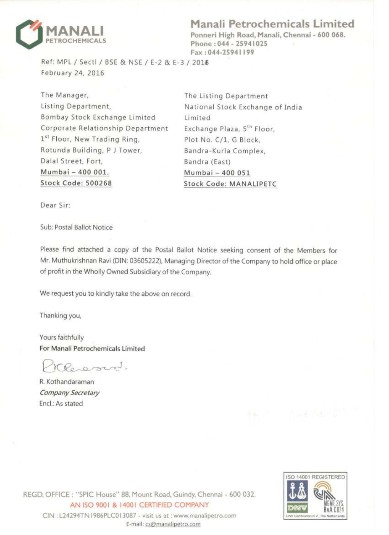

Manali Petrochemicals Limited

Ponneri High Road, Manali, Chennai - 600 068. Phone: 044 - 25941025 Fax: 044-25941199

Ref: MPL / Sectl / BSE & NSE / E-2 & E-3 / 2016 February 24, 2016

The Manager, Listing Department, Bombay Stock Exchange Limited Corporate Relationship Department 1st Floor, New Trading Ring, Rotunda Building, P J Tower, Dalal Street, Fort, Mumbai - 400 001. **Stock Code: 500268** 

The Listing Department National Stock Exchange of India Limited Exchange Plaza, 5<sup>th</sup> Floor, Plot No. C/1, G Block, Bandra-Kurla Complex, Bandra (East) Mumbai - 400 051 **Stock Code: MANALIPETC** 

Dear Sir:

Sub: Postal Ballot Notice

Please find attached a copy of the Postal Ballot Notice seeking consent of the Members for Mr. Muthukrishnan Ravi (DIN: 03605222), Managing Director of the Company to hold office or place of profit in the Wholly Owned Subsidiary of the Company.

We request you to kindly take the above on record.

Thanking you,

Yours faithfully For Manali Petrochemicals Limited

KPo-pord.

R. Kothandaraman Company Secretary Encl.: As stated

REGD. OFFICE: "SPIC House" 88, Mount Road, Guindy, Chennai - 600 032. AN ISO 9001 & 14001 CERTIFIED COMPANY CIN: L24294TN1986PLC013087 - visit us at : www.manalipetro.com



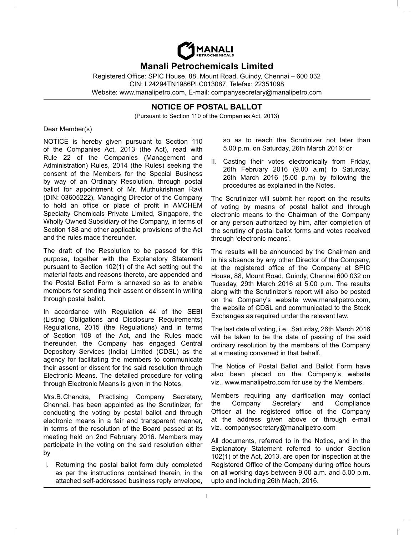

# **Manali Petrochemicals Limited**

Registered Office: SPIC House, 88, Mount Road, Guindy, Chennai - 600 032 CIN: L24294TN1986PLC013087, Telefax: 22351098 Website: www.manalipetro.com, E-mail: companysecretary@manalipetro.com

# **NOTICE OF POSTAL BALLOT**

(Pursuant to Section 110 of the Companies Act, 2013)

## Dear Member(s)

NOTICE is hereby given pursuant to Section 110 of the Companies Act, 2013 (the Act), read with Rule 22 of the Companies (Management and Administration) Rules, 2014 (the Rules) seeking the consent of the Members for the Special Business by way of an Ordinary Resolution, through postal ballot for appointment of Mr. Muthukrishnan Ravi (DIN: 03605222), Managing Director of the Company to hold an office or place of profit in AMCHEM Specialty Chemicals Private Limited, Singapore, the Wholly Owned Subsidiary of the Company, in terms of Section 188 and other applicable provisions of the Act and the rules made thereunder.

The draft of the Resolution to be passed for this purpose, together with the Explanatory Statement pursuant to Section 102(1) of the Act setting out the material facts and reasons thereto, are appended and the Postal Ballot Form is annexed so as to enable members for sending their assent or dissent in writing through postal ballot.

In accordance with Regulation 44 of the SEBI (Listing Obligations and Disclosure Requirements) Regulations, 2015 (the Regulations) and in terms of Section 108 of the Act, and the Rules made thereunder, the Company has engaged Central Depository Services (India) Limited (CDSL) as the agency for facilitating the members to communicate their assent or dissent for the said resolution through Electronic Means. The detailed procedure for voting through Electronic Means is given in the Notes.

Mrs.B.Chandra, Practising Company Secretary, Chennai, has been appointed as the Scrutinizer, for conducting the voting by postal ballot and through electronic means in a fair and transparent manner, in terms of the resolution of the Board passed at its meeting held on 2nd February 2016. Members may participate in the voting on the said resolution either by

I. Returning the postal ballot form duly completed as per the instructions contained therein, in the attached self-addressed business reply envelope, so as to reach the Scrutinizer not later than 5.00 p.m. on Saturday, 26th March 2016; or

II. Casting their votes electronically from Friday, 26th February 2016 (9.00 a.m) to Saturday, 26th March 2016 (5.00 p.m) by following the procedures as explained in the Notes.

The Scrutinizer will submit her report on the results of voting by means of postal ballot and through electronic means to the Chairman of the Company or any person authorized by him, after completion of the scrutiny of postal ballot forms and votes received through 'electronic means'.

The results will be announced by the Chairman and in his absence by any other Director of the Company, at the registered office of the Company at SPIC House, 88, Mount Road, Guindy, Chennai 600 032 on Tuesday, 29th March 2016 at 5.00 p.m. The results along with the Scrutinizer's report will also be posted on the Company's website www.manalipetro.com, the website of CDSL and communicated to the Stock Exchanges as required under the relevant law.

The last date of voting, i.e., Saturday, 26th March 2016 will be taken to be the date of passing of the said ordinary resolution by the members of the Company at a meeting convened in that behalf.

The Notice of Postal Ballot and Ballot Form have also been placed on the Company's website viz., www.manalipetro.com for use by the Members.

Members requiring any clarification may contact the Company Secretary and Compliance Officer at the registered office of the Company at the address given above or through e-mail viz., companysecretary@manalipetro.com

All documents, referred to in the Notice, and in the Explanatory Statement referred to under Section 102(1) of the Act, 2013, are open for inspection at the Registered Office of the Company during office hours on all working days between 9.00 a.m. and 5.00 p.m. upto and including 26th Mach, 2016.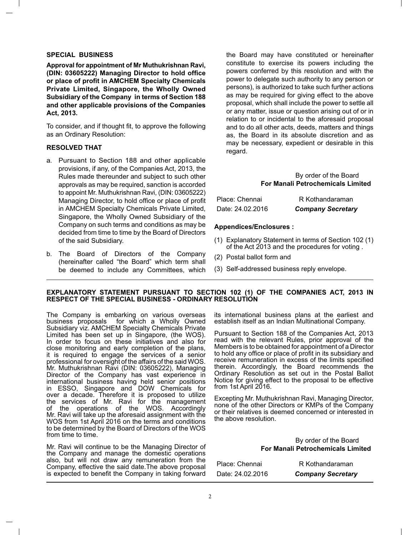### **SPECIAL BUSINESS**

**Approval for appointment of Mr Muthukrishnan Ravi, (DIN: 03605222) Managing Director to hold of! ce or place of pro! t in AMCHEM Specialty Chemicals Private Limited, Singapore, the Wholly Owned Subsidiary of the Company in terms of Section 188 and other applicable provisions of the Companies Act, 2013.**

To consider, and if thought fit, to approve the following as an Ordinary Resolution:

#### **RESOLVED THAT**

- a. Pursuant to Section 188 and other applicable provisions, if any, of the Companies Act, 2013, the Rules made thereunder and subject to such other approvals as may be required, sanction is accorded to appoint Mr. Muthukrishnan Ravi, (DIN: 03605222) Managing Director, to hold office or place of profit in AMCHEM Specialty Chemicals Private Limited, Singapore, the Wholly Owned Subsidiary of the Company on such terms and conditions as may be decided from time to time by the Board of Directors of the said Subsidiary.
- b. The Board of Directors of the Company (hereinafter called "the Board" which term shall be deemed to include any Committees, which

the Board may have constituted or hereinafter constitute to exercise its powers including the powers conferred by this resolution and with the power to delegate such authority to any person or persons), is authorized to take such further actions as may be required for giving effect to the above proposal, which shall include the power to settle all or any matter, issue or question arising out of or in relation to or incidental to the aforesaid proposal and to do all other acts, deeds, matters and things as, the Board in its absolute discretion and as may be necessary, expedient or desirable in this regard.

## By order of the Board **For Manali Petrochemicals Limited**

| Place: Chennai   | R Kothandaraman          |
|------------------|--------------------------|
| Date: 24.02.2016 | <b>Company Secretary</b> |

#### **Appendices/Enclosures :**

- (1) Explanatory Statement in terms of Section 102 (1) of the Act 2013 and the procedures for voting .
- (2) Postal ballot form and
- (3) Self-addressed business reply envelope.

#### **EXPLANATORY STATEMENT PURSUANT TO SECTION 102 (1) OF THE COMPANIES ACT, 2013 IN RESPECT OF THE SPECIAL BUSINESS - ORDINARY RESOLUTION**

The Company is embarking on various overseas business proposals for which a Wholly Owned Subsidiary viz. AMCHEM Specialty Chemicals Private Limited has been set up in Singapore, (the WOS). In order to focus on these initiatives and also for close monitoring and early completion of the plans, it is required to engage the services of a senior professional for oversight of the affairs of the said WOS. Mr. Muthukrishnan Ravi (DIN: 03605222), Managing Director of the Company has vast experience in international business having held senior positions in ESSO, Singapore and DOW Chemicals for over a decade. Therefore it is proposed to utilize the services of Mr. Ravi for the management of the operations of the WOS. Accordingly Mr. Ravi will take up the aforesaid assignment with the WOS from 1st April 2016 on the terms and conditions to be determined by the Board of Directors of the WOS from time to time.

Mr. Ravi will continue to be the Managing Director of the Company and manage the domestic operations also, but will not draw any remuneration from the Company, effective the said date.The above proposal is expected to benefit the Company in taking forward

its international business plans at the earliest and establish itself as an Indian Multinational Company.

Pursuant to Section 188 of the Companies Act, 2013 read with the relevant Rules, prior approval of the Members is to be obtained for appointment of a Director to hold any office or place of profit in its subsidiary and receive remuneration in excess of the limits specified therein. Accordingly, the Board recommends the Ordinary Resolution as set out in the Postal Ballot Notice for giving effect to the proposal to be effective from 1st April 2016.

Excepting Mr. Muthukrishnan Ravi, Managing Director, none of the other Directors or KMPs of the Company or their relatives is deemed concerned or interested in the above resolution.

> By order of the Board **For Manali Petrochemicals Limited**

| Place: Chennai   | R Kothandaraman          |
|------------------|--------------------------|
| Date: 24.02.2016 | <b>Company Secretary</b> |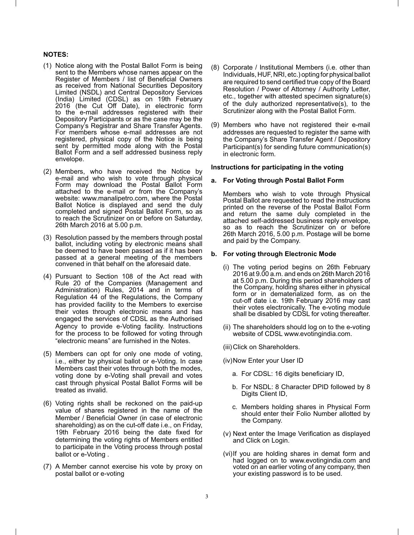#### **NOTES:**

- (1) Notice along with the Postal Ballot Form is being sent to the Members whose names appear on the Register of Members / list of Beneficial Owners as received from National Securities Depository Limited (NSDL) and Central Depository Services (India) Limited (CDSL) as on 19th February 2016 (the Cut Off Date), in electronic form to the e-mail addresses registered with their Depository Participants or as the case may be the Company's Registrar and Share Transfer Agents. For members whose e-mail addresses are not registered, physical copy of the Notice is being sent by permitted mode along with the Postal Ballot Form and a self addressed business reply envelope.
- (2) Members, who have received the Notice by e-mail and who wish to vote through physical Form may download the Postal Ballot Form attached to the e-mail or from the Company's website: www.manalipetro.com, where the Postal Ballot Notice is displayed and send the duly completed and signed Postal Ballot Form, so as to reach the Scrutinizer on or before on Saturday, 26th March 2016 at 5.00 p.m.
- (3) Resolution passed by the members through postal ballot, including voting by electronic means shall be deemed to have been passed as if it has been passed at a general meeting of the members convened in that behalf on the aforesaid date.
- (4) Pursuant to Section 108 of the Act read with Rule 20 of the Companies (Management and Administration) Rules, 2014 and in terms of Regulation 44 of the Regulations, the Company has provided facility to the Members to exercise their votes through electronic means and has engaged the services of CDSL as the Authorised Agency to provide e-Voting facility. Instructions for the process to be followed for voting through "electronic means" are furnished in the Notes.
- (5) Members can opt for only one mode of voting, i.e., either by physical ballot or e-Voting. In case Members cast their votes through both the modes, voting done by e-Voting shall prevail and votes cast through physical Postal Ballot Forms will be treated as invalid.
- (6) Voting rights shall be reckoned on the paid-up value of shares registered in the name of the Member / Beneficial Owner (in case of electronic shareholding) as on the cut-off date i.e., on Friday, 19th February 2016 being the date fixed for determining the voting rights of Members entitled to participate in the Voting process through postal ballot or e-Voting .
- (7) A Member cannot exercise his vote by proxy on postal ballot or e-voting
- (8) Corporate / Institutional Members (i.e. other than Individuals, HUF, NRI, etc.) opting for physical ballot are required to send certified true copy of the Board Resolution / Power of Attorney / Authority Letter, etc., together with attested specimen signature(s) of the duly authorized representative(s), to the Scrutinizer along with the Postal Ballot Form.
- (9) Members who have not registered their e-mail addresses are requested to register the same with the Company's Share Transfer Agent / Depository Participant(s) for sending future communication(s) in electronic form.

#### **Instructions for participating in the voting**

#### **a. For Voting through Postal Ballot Form**

 Members who wish to vote through Physical Postal Ballot are requested to read the instructions printed on the reverse of the Postal Ballot Form and return the same duly completed in the attached self-addressed business reply envelope, so as to reach the Scrutinizer on or before 26th March 2016, 5.00 p.m. Postage will be borne and paid by the Company.

### **b. For voting through Electronic Mode**

- (i) The voting period begins on 26th February 2016 at 9.00 a.m. and ends on 26th March 2016 at 5.00 p.m. During this period shareholders of the Company, holding shares either in physical form or in dematerialized form, as on the cut-off date i.e. 19th February 2016 may cast their votes electronically. The e-voting module shall be disabled by CDSL for voting thereafter.
- (ii) The shareholders should log on to the e-voting website of CDSL www.evotingindia.com.
- (iii) Click on Shareholders.
- (iv) Now Enter your User ID
	- a. For CDSL: 16 digits beneficiary ID,
	- b. For NSDL: 8 Character DPID followed by 8 Digits Client ID,
	- c. Members holding shares in Physical Form should enter their Folio Number allotted by the Company.
- (v) Next enter the Image Verification as displayed and Click on Login.
- (vi) If you are holding shares in demat form and had logged on to www.evotingindia.com and voted on an earlier voting of any company, then your existing password is to be used.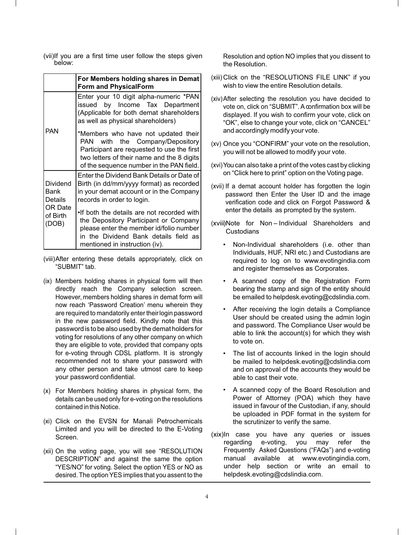(vii) If you are a first time user follow the steps given below:

|                                                                    | For Members holding shares in Demat<br><b>Form and PhysicalForm</b>                                                                                                                                               |  |  |
|--------------------------------------------------------------------|-------------------------------------------------------------------------------------------------------------------------------------------------------------------------------------------------------------------|--|--|
|                                                                    | Enter your 10 digit alpha-numeric *PAN<br>issued by Income Tax Department<br>(Applicable for both demat shareholders<br>as well as physical shareholders)                                                         |  |  |
| <b>PAN</b>                                                         | *Members who have not updated their<br>PAN<br>with the Company/Depository<br>Participant are requested to use the first<br>two letters of their name and the 8 digits<br>of the sequence number in the PAN field. |  |  |
| Dividend<br>Bank<br>Details<br><b>OR Date</b><br>of Birth<br>(DOB) | Enter the Dividend Bank Details or Date of<br>Birth (in dd/mm/yyyy format) as recorded<br>in your demat account or in the Company<br>records in order to login.                                                   |  |  |
|                                                                    | . If both the details are not recorded with<br>the Depository Participant or Company<br>please enter the member id/folio number<br>in the Dividend Bank details field as<br>mentioned in instruction (iv).        |  |  |

- (viii) After entering these details appropriately, click on "SUBMIT" tab.
- (ix) Members holding shares in physical form will then directly reach the Company selection screen. However, members holding shares in demat form will now reach 'Password Creation' menu wherein they are required to mandatorily enter their login password in the new password field. Kindly note that this password is to be also used by the demat holders for voting for resolutions of any other company on which they are eligible to vote, provided that company opts for e-voting through CDSL platform. It is strongly recommended not to share your password with any other person and take utmost care to keep your password confidential.
- (x) For Members holding shares in physical form, the details can be used only for e-voting on the resolutions contained in this Notice.
- (xi) Click on the EVSN for Manali Petrochemicals Limited and you will be directed to the E-Voting Screen.
- (xii) On the voting page, you will see "RESOLUTION DESCRIPTION" and against the same the option "YES/NO" for voting. Select the option YES or NO as desired. The option YES implies that you assent to the

Resolution and option NO implies that you dissent to the Resolution.

- (xiii) Click on the "RESOLUTIONS FILE LINK" if you wish to view the entire Resolution details.
- (xiv) After selecting the resolution you have decided to vote on, click on "SUBMIT". A confirmation box will be displayed. If you wish to confirm your vote, click on "OK", else to change your vote, click on "CANCEL" and accordingly modify your vote.
- (xv) Once you "CONFIRM" your vote on the resolution, you will not be allowed to modify your vote.
- (xvi) You can also take a print of the votes cast by clicking on "Click here to print" option on the Voting page.
- (xvii) If a demat account holder has forgotten the login password then Enter the User ID and the image verification code and click on Forgot Password & enter the details as prompted by the system.

(xviii) Note for Non – Individual Shareholders and **Custodians** 

- Non-Individual shareholders (i.e. other than Individuals, HUF, NRI etc.) and Custodians are required to log on to www.evotingindia.com and register themselves as Corporates.
- A scanned copy of the Registration Form bearing the stamp and sign of the entity should be emailed to helpdesk.evoting@cdslindia.com.
- After receiving the login details a Compliance User should be created using the admin login and password. The Compliance User would be able to link the account(s) for which they wish to vote on.
- The list of accounts linked in the login should be mailed to helpdesk.evoting@cdslindia.com and on approval of the accounts they would be able to cast their vote.
- A scanned copy of the Board Resolution and Power of Attorney (POA) which they have issued in favour of the Custodian, if any, should be uploaded in PDF format in the system for the scrutinizer to verify the same.
- (xix) In case you have any queries or issues regarding e-voting, you may refer the Frequently Asked Questions ("FAQs") and e-voting manual available at www.evotingindia.com, under help section or write an email to helpdesk.evoting@cdslindia.com.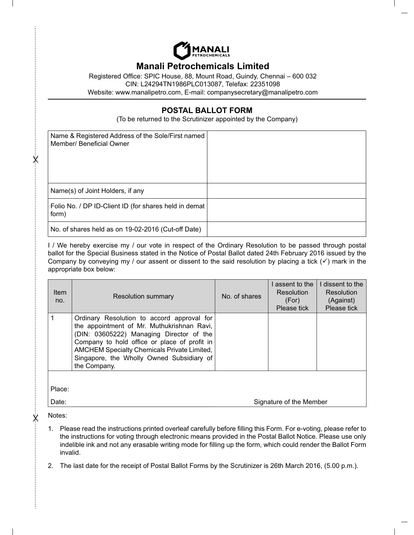

# **Manali Petrochemicals Limited**

Registered Office: SPIC House, 88, Mount Road, Guindy, Chennai – 600 032 CIN: L24294TN1986PLC013087, Telefax: 22351098 Website: www.manalipetro.com, E-mail: companysecretary@manalipetro.com

# **POSTAL BALLOT FORM**

(To be returned to the Scrutinizer appointed by the Company)

| Name & Registered Address of the Sole/First named<br>Member/ Beneficial Owner |  |
|-------------------------------------------------------------------------------|--|
| Name(s) of Joint Holders, if any                                              |  |
| Folio No. / DP ID-Client ID (for shares held in demat<br>form)                |  |
| No. of shares held as on 19-02-2016 (Cut-off Date)                            |  |

I / We hereby exercise my / our vote in respect of the Ordinary Resolution to be passed through postal ballot for the Special Business stated in the Notice of Postal Ballot dated 24th February 2016 issued by the Company by conveying my / our assent or dissent to the said resolution by placing a tick  $(\checkmark)$  mark in the appropriate box below:

| <b>Item</b><br>no. | <b>Resolution summary</b>                                                                                                                                                                                                                                                                               | No. of shares | assent to the<br><b>Resolution</b><br>(For)<br>Please tick | dissent to the<br><b>Resolution</b><br>(Against)<br>Please tick |
|--------------------|---------------------------------------------------------------------------------------------------------------------------------------------------------------------------------------------------------------------------------------------------------------------------------------------------------|---------------|------------------------------------------------------------|-----------------------------------------------------------------|
|                    | Ordinary Resolution to accord approval for<br>the appointment of Mr. Muthukrishnan Ravi,<br>(DIN: 03605222) Managing Director of the<br>Company to hold office or place of profit in<br><b>AMCHEM Specialty Chemicals Private Limited,</b><br>Singapore, the Wholly Owned Subsidiary of<br>the Company. |               |                                                            |                                                                 |
| Place:<br>Date:    |                                                                                                                                                                                                                                                                                                         |               | Signature of the Member                                    |                                                                 |

Notes:

 $\dot{\varkappa}$ 

X

- 1. Please read the instructions printed overleaf carefully before filling this Form. For e-voting, please refer to the instructions for voting through electronic means provided in the Postal Ballot Notice. Please use only indelible ink and not any erasable writing mode for filling up the form, which could render the Ballot Form invalid.
- 2. The last date for the receipt of Postal Ballot Forms by the Scrutinizer is 26th March 2016, (5.00 p.m.).